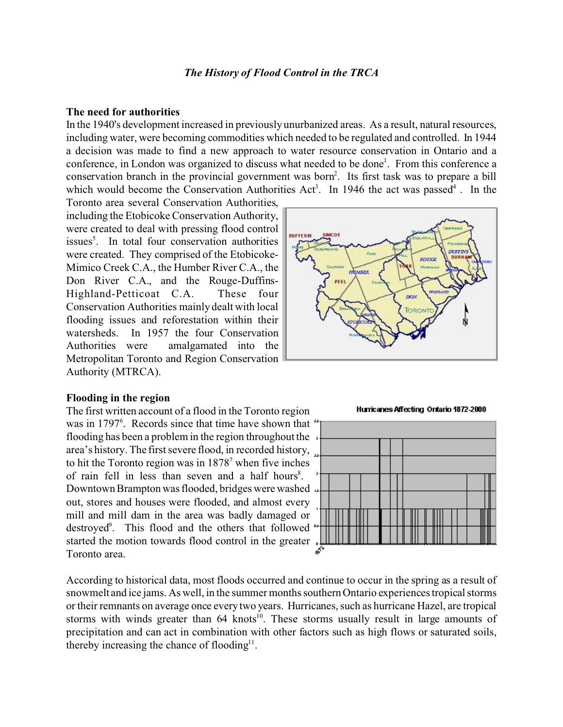# *The History of Flood Control in the TRCA*

## **The need for authorities**

In the 1940's development increased in previously unurbanized areas. As a result, natural resources, including water, were becoming commodities which needed to be regulated and controlled. In 1944 a decision was made to find a new approach to water resource conservation in Ontario and a conference, in London was organized to discuss what needed to be done<sup>1</sup>. From this conference a conservation branch in the provincial government was born<sup>2</sup>. Its first task was to prepare a bill which would become the Conservation Authorities Act<sup>3</sup>. In 1946 the act was passed<sup>4</sup>. In the

Toronto area several Conservation Authorities, including the Etobicoke Conservation Authority, were created to deal with pressing flood control issues<sup>5</sup>. In total four conservation authorities were created. They comprised of the Etobicoke-Mimico Creek C.A., the Humber River C.A., the Don River C.A., and the Rouge-Duffins-Highland-Petticoat C.A.These four Conservation Authorities mainly dealt with local flooding issues and reforestation within their watersheds. In 1957 the four Conservation Authorities were amalgamated into the Metropolitan Toronto and Region Conservation Authority (MTRCA).

## **Flooding in the region**

The first written account of a flood in the Toronto region was in 1797<sup>6</sup>. Records since that time have shown that flooding has been a problem in the region throughout the area's history. The first severe flood, in recorded history, to hit the Toronto region was in  $1878^7$  when five inches of rain fell in less than seven and a half hours<sup>8</sup>. Downtown Brampton was flooded, bridges were washed out, stores and houses were flooded, and almost every mill and mill dam in the area was badly damaged or destroyed<sup>9</sup> . This flood and the others that followed started the motion towards flood control in the greater. Toronto area.



Hurricanes Affecting Ontario 1872-2000



According to historical data, most floods occurred and continue to occur in the spring as a result of snowmelt and ice jams. As well, in the summer months southern Ontario experiences tropical storms or their remnants on average once every two years. Hurricanes, such as hurricane Hazel, are tropical storms with winds greater than 64 knots<sup>10</sup>. These storms usually result in large amounts of precipitation and can act in combination with other factors such as high flows or saturated soils, thereby increasing the chance of flooding $11$ .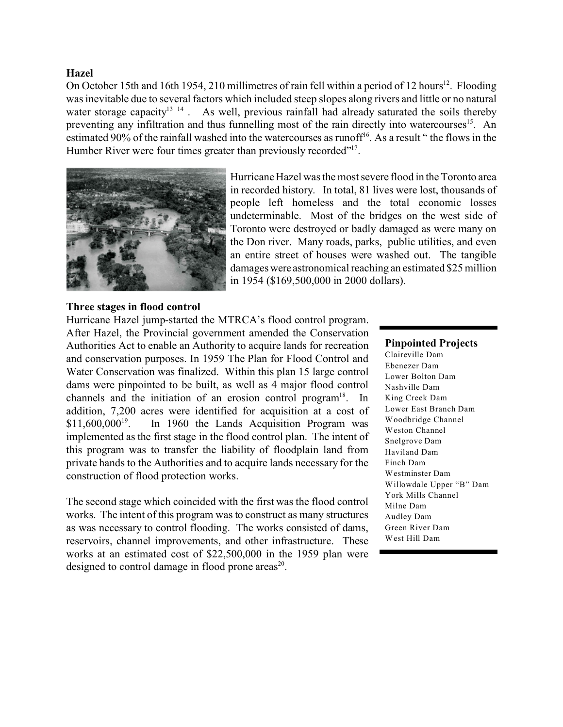# **Hazel**

On October 15th and 16th 1954, 210 millimetres of rain fell within a period of 12 hours<sup>12</sup>. Flooding was inevitable due to several factors which included steep slopes along rivers and little or no natural water storage capacity<sup>13 14</sup>. As well, previous rainfall had already saturated the soils thereby preventing any infiltration and thus funnelling most of the rain directly into watercourses<sup>15</sup>. An estimated 90% of the rainfall washed into the watercourses as runoff<sup>16</sup>. As a result "the flows in the Humber River were four times greater than previously recorded"<sup>17</sup>.



Hurricane Hazel was the most severe flood in the Toronto area in recorded history. In total, 81 lives were lost, thousands of people left homeless and the total economic losses undeterminable. Most of the bridges on the west side of Toronto were destroyed or badly damaged as were many on the Don river. Many roads, parks, public utilities, and even an entire street of houses were washed out. The tangible damages were astronomical reaching an estimated \$25 million in 1954 (\$169,500,000 in 2000 dollars).

# **Three stages in flood control**

Hurricane Hazel jump-started the MTRCA's flood control program. After Hazel, the Provincial government amended the Conservation Authorities Act to enable an Authority to acquire lands for recreation and conservation purposes. In 1959 The Plan for Flood Control and Water Conservation was finalized. Within this plan 15 large control dams were pinpointed to be built, as well as 4 major flood control channels and the initiation of an erosion control program $18$ . In addition, 7,200 acres were identified for acquisition at a cost of  $$11,600,000^{19}$ . . In 1960 the Lands Acquisition Program was implemented as the first stage in the flood control plan. The intent of this program was to transfer the liability of floodplain land from private hands to the Authorities and to acquire lands necessary for the construction of flood protection works.

The second stage which coincided with the first was the flood control works. The intent of this program was to construct as many structures as was necessary to control flooding. The works consisted of dams, reservoirs, channel improvements, and other infrastructure. These works at an estimated cost of \$22,500,000 in the 1959 plan were designed to control damage in flood prone areas $^{20}$ .

## **Pinpointed Projects**

Claireville Dam Ebenezer Dam Lower Bolton Dam Nashville Dam King Creek Dam Lower East Branch Dam Woodbridge Channel Weston Channel Snelgrove Dam Haviland Dam Finch Dam Westminster Dam Willowdale Upper "B" Dam York Mills Channel Milne Dam Audley Dam Green River Dam West Hill Dam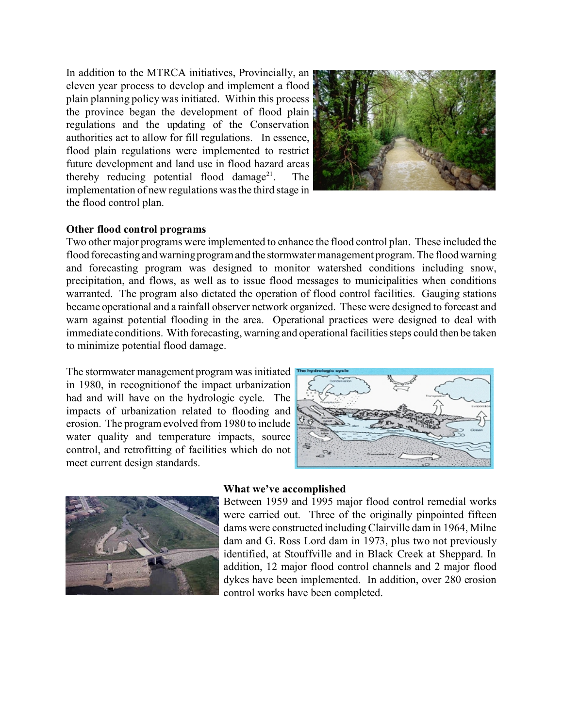In addition to the MTRCA initiatives, Provincially, an eleven year process to develop and implement a flood plain planning policy was initiated. Within this process the province began the development of flood plain regulations and the updating of the Conservation authorities act to allow for fill regulations. In essence, flood plain regulations were implemented to restrict future development and land use in flood hazard areas thereby reducing potential flood damage<sup>21</sup>. The implementation of new regulations was the third stage in the flood control plan.



## **Other flood control programs**

Two other major programs were implemented to enhance the flood control plan. These included the flood forecasting and warning programand the stormwater management program. The flood warning and forecasting program was designed to monitor watershed conditions including snow, precipitation, and flows, as well as to issue flood messages to municipalities when conditions warranted. The program also dictated the operation of flood control facilities. Gauging stations became operational and a rainfall observer network organized. These were designed to forecast and warn against potential flooding in the area. Operational practices were designed to deal with immediate conditions. With forecasting, warning and operational facilities steps could then be taken to minimize potential flood damage.

The stormwater management program was initiated in 1980, in recognitionof the impact urbanization had and will have on the hydrologic cycle. The impacts of urbanization related to flooding and erosion. The program evolved from 1980 to include water quality and temperature impacts, source control, and retrofitting of facilities which do not meet current design standards.





## **What we've accomplished**

Between 1959 and 1995 major flood control remedial works were carried out. Three of the originally pinpointed fifteen dams were constructed including Clairville dam in 1964, Milne dam and G. Ross Lord dam in 1973, plus two not previously identified, at Stouffville and in Black Creek at Sheppard. In addition, 12 major flood control channels and 2 major flood dykes have been implemented. In addition, over 280 erosion control works have been completed.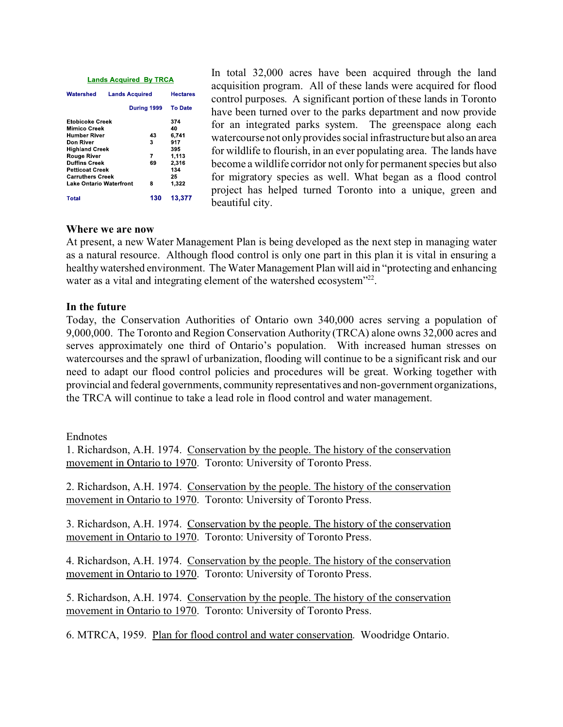#### **Lands Acquired By TRCA**

| Watershed                                              | <b>Lands Acquired</b> |         | <b>Hectares</b>    |
|--------------------------------------------------------|-----------------------|---------|--------------------|
|                                                        | During 1999           |         | <b>To Date</b>     |
| <b>Etobicoke Creek</b><br>Mimico Creek<br>Humber River |                       | 43      | 374<br>40<br>6.741 |
| Don River<br><b>Highland Creek</b>                     |                       | 3       | 917<br>395         |
| Rouge River<br><b>Duffins Creek</b>                    |                       | 7<br>69 | 1.113<br>2,316     |
| <b>Petticoat Creek</b><br><b>Carruthers Creek</b>      |                       |         | 134<br>25          |
| <b>Lake Ontario Waterfront</b>                         |                       | 8       | 1,322              |
| Total                                                  |                       | 130     | 13,377             |

In total 32,000 acres have been acquired through the land acquisition program. All of these lands were acquired for flood control purposes. A significant portion of these lands in Toronto have been turned over to the parks department and now provide for an integrated parks system. The greenspace along each watercourse not only provides social infrastructure but also an area for wildlife to flourish, in an ever populating area. The lands have become a wildlife corridor not only for permanent species but also for migratory species as well. What began as a flood control project has helped turned Toronto into a unique, green and beautiful city.

# **Where we are now**

At present, a new Water Management Plan is being developed as the next step in managing water as a natural resource. Although flood control is only one part in this plan it is vital in ensuring a healthy watershed environment. The Water Management Plan will aid in "protecting and enhancing water as a vital and integrating element of the watershed ecosystem"<sup>22</sup>.

## **In the future**

Today, the Conservation Authorities of Ontario own 340,000 acres serving a population of 9,000,000. The Toronto and Region Conservation Authority (TRCA) alone owns 32,000 acres and serves approximately one third of Ontario's population. With increased human stresses on watercourses and the sprawl of urbanization, flooding will continue to be a significant risk and our need to adapt our flood control policies and procedures will be great. Working together with provincial and federal governments, community representatives and non-government organizations, the TRCA will continue to take a lead role in flood control and water management.

## Endnotes

1. Richardson, A.H. 1974. Conservation by the people. The history of the conservation movement in Ontario to 1970. Toronto: University of Toronto Press.

2. Richardson, A.H. 1974. Conservation by the people. The history of the conservation movement in Ontario to 1970. Toronto: University of Toronto Press.

3. Richardson, A.H. 1974. Conservation by the people. The history of the conservation movement in Ontario to 1970. Toronto: University of Toronto Press.

4. Richardson, A.H. 1974. Conservation by the people. The history of the conservation movement in Ontario to 1970. Toronto: University of Toronto Press.

5. Richardson, A.H. 1974. Conservation by the people. The history of the conservation movement in Ontario to 1970. Toronto: University of Toronto Press.

6. MTRCA, 1959. Plan for flood control and water conservation. Woodridge Ontario.